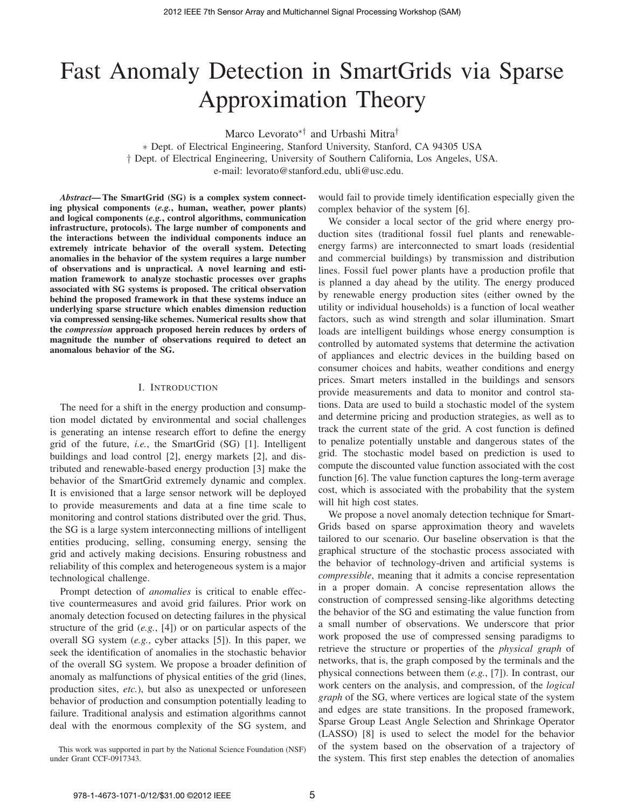# Fast Anomaly Detection in SmartGrids via Sparse Approximation Theory

Marco Levorato∗† and Urbashi Mitra†

∗ Dept. of Electrical Engineering, Stanford University, Stanford, CA 94305 USA † Dept. of Electrical Engineering, University of Southern California, Los Angeles, USA. e-mail: levorato@stanford.edu, ubli@usc.edu.

*Abstract***— The SmartGrid (SG) is a complex system connecting physical components (***e.g.***, human, weather, power plants) and logical components (***e.g.***, control algorithms, communication infrastructure, protocols). The large number of components and the interactions between the individual components induce an extremely intricate behavior of the overall system. Detecting anomalies in the behavior of the system requires a large number of observations and is unpractical. A novel learning and estimation framework to analyze stochastic processes over graphs associated with SG systems is proposed. The critical observation behind the proposed framework in that these systems induce an underlying sparse structure which enables dimension reduction via compressed sensing-like schemes. Numerical results show that the** *compression* **approach proposed herein reduces by orders of magnitude the number of observations required to detect an anomalous behavior of the SG.**

### I. INTRODUCTION

The need for a shift in the energy production and consumption model dictated by environmental and social challenges is generating an intense research effort to define the energy grid of the future, *i.e.*, the SmartGrid (SG) [1]. Intelligent buildings and load control [2], energy markets [2], and distributed and renewable-based energy production [3] make the behavior of the SmartGrid extremely dynamic and complex. It is envisioned that a large sensor network will be deployed to provide measurements and data at a fine time scale to monitoring and control stations distributed over the grid. Thus, the SG is a large system interconnecting millions of intelligent entities producing, selling, consuming energy, sensing the grid and actively making decisions. Ensuring robustness and reliability of this complex and heterogeneous system is a major technological challenge.

Prompt detection of *anomalies* is critical to enable effective countermeasures and avoid grid failures. Prior work on anomaly detection focused on detecting failures in the physical structure of the grid (*e.g.*, [4]) or on particular aspects of the overall SG system (*e.g.*, cyber attacks [5]). In this paper, we seek the identification of anomalies in the stochastic behavior of the overall SG system. We propose a broader definition of anomaly as malfunctions of physical entities of the grid (lines, production sites, *etc.*), but also as unexpected or unforeseen behavior of production and consumption potentially leading to failure. Traditional analysis and estimation algorithms cannot deal with the enormous complexity of the SG system, and

This work was supported in part by the National Science Foundation (NSF) under Grant CCF-0917343.

would fail to provide timely identification especially given the complex behavior of the system [6].

We consider a local sector of the grid where energy production sites (traditional fossil fuel plants and renewableenergy farms) are interconnected to smart loads (residential and commercial buildings) by transmission and distribution lines. Fossil fuel power plants have a production profile that is planned a day ahead by the utility. The energy produced by renewable energy production sites (either owned by the utility or individual households) is a function of local weather factors, such as wind strength and solar illumination. Smart loads are intelligent buildings whose energy consumption is controlled by automated systems that determine the activation of appliances and electric devices in the building based on consumer choices and habits, weather conditions and energy prices. Smart meters installed in the buildings and sensors provide measurements and data to monitor and control stations. Data are used to build a stochastic model of the system and determine pricing and production strategies, as well as to track the current state of the grid. A cost function is defined to penalize potentially unstable and dangerous states of the grid. The stochastic model based on prediction is used to compute the discounted value function associated with the cost function [6]. The value function captures the long-term average cost, which is associated with the probability that the system will hit high cost states.

We propose a novel anomaly detection technique for Smart-Grids based on sparse approximation theory and wavelets tailored to our scenario. Our baseline observation is that the graphical structure of the stochastic process associated with the behavior of technology-driven and artificial systems is *compressible*, meaning that it admits a concise representation in a proper domain. A concise representation allows the construction of compressed sensing-like algorithms detecting the behavior of the SG and estimating the value function from a small number of observations. We underscore that prior work proposed the use of compressed sensing paradigms to retrieve the structure or properties of the *physical graph* of networks, that is, the graph composed by the terminals and the physical connections between them (*e.g.*, [7]). In contrast, our work centers on the analysis, and compression, of the *logical graph* of the SG, where vertices are logical state of the system and edges are state transitions. In the proposed framework, Sparse Group Least Angle Selection and Shrinkage Operator (LASSO) [8] is used to select the model for the behavior of the system based on the observation of a trajectory of the system. This first step enables the detection of anomalies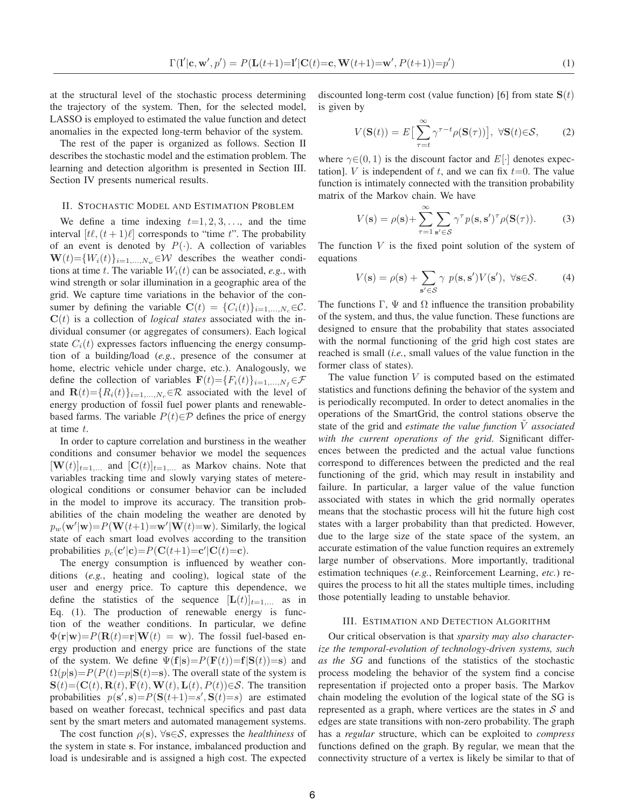at the structural level of the stochastic process determining the trajectory of the system. Then, for the selected model, LASSO is employed to estimated the value function and detect anomalies in the expected long-term behavior of the system.

The rest of the paper is organized as follows. Section II describes the stochastic model and the estimation problem. The learning and detection algorithm is presented in Section III. Section IV presents numerical results.

#### II. STOCHASTIC MODEL AND ESTIMATION PROBLEM

We define a time indexing  $t=1, 2, 3, \ldots$ , and the time interval  $[t\ell, (t+1)\ell]$  corresponds to "time t". The probability of an event is denoted by  $P(\cdot)$ . A collection of variables  $\mathbf{W}(t) = \{W_i(t)\}_{i=1,\dots,N_w} \in \mathcal{W}$  describes the weather conditions at time t. The variable  $W_i(t)$  can be associated, e.g., with wind strength or solar illumination in a geographic area of the grid. We capture time variations in the behavior of the consumer by defining the variable  $\mathbf{C}(t) = \{C_i(t)\}_{i=1,\dots,N_c} \in \mathcal{C}$ .  $C(t)$  is a collection of *logical states* associated with the individual consumer (or aggregates of consumers). Each logical state  $C_i(t)$  expresses factors influencing the energy consumption of a building/load (*e.g.*, presence of the consumer at home, electric vehicle under charge, etc.). Analogously, we define the collection of variables  $\mathbf{F}(t) = \{F_i(t)\}_{i=1,\dots,N_f} \in \mathcal{F}$ and  $\mathbf{R}(t) = \{R_i(t)\}_{i=1,\ldots,N_r} \in \mathcal{R}$  associated with the level of energy production of fossil fuel power plants and renewablebased farms. The variable  $P(t) \in \mathcal{P}$  defines the price of energy at time t.

In order to capture correlation and burstiness in the weather conditions and consumer behavior we model the sequences  $[\mathbf{W}(t)]_{t=1,...}$  and  $[\mathbf{C}(t)]_{t=1,...}$  as Markov chains. Note that variables tracking time and slowly varying states of metereological conditions or consumer behavior can be included in the model to improve its accuracy. The transition probabilities of the chain modeling the weather are denoted by  $p_w(\mathbf{w}'|\mathbf{w}) = P(\mathbf{W}(t+1)=\mathbf{w}'|\mathbf{W}(t)=\mathbf{w})$ . Similarly, the logical state of each smart load evolves according to the transition probabilities  $p_c(\mathbf{c}'|\mathbf{c}) = P(\mathbf{C}(t+1)) = \mathbf{c}'|\mathbf{C}(t) = \mathbf{c})$ .

The energy consumption is influenced by weather conditions (*e.g.*, heating and cooling), logical state of the user and energy price. To capture this dependence, we define the statistics of the sequence  $[L(t)]_{t=1,...}$  as in Eq. (1). The production of renewable energy is function of the weather conditions. In particular, we define  $\Phi(\mathbf{r}|\mathbf{w})=P(\mathbf{R}(t)=\mathbf{r}|\mathbf{W}(t) = \mathbf{w})$ . The fossil fuel-based energy production and energy price are functions of the state of the system. We define  $\Psi(f|s) = P(F(t)) = f|S(t)| = s$  and  $\Omega(p|\mathbf{s})=P(P(t)=p|\mathbf{S}(t)=\mathbf{s})$ . The overall state of the system is  $S(t) = (C(t), R(t), F(t), W(t), L(t), P(t)) \in S$ . The transition probabilities  $p(\mathbf{s}', \mathbf{s}) = P(\mathbf{S}(t+1) = s', \mathbf{S}(t) = s)$  are estimated based on weather forecast, technical specifics and past data sent by the smart meters and automated management systems.

The cost function  $\rho(s)$ ,  $\forall s \in S$ , expresses the *healthiness* of the system in state s. For instance, imbalanced production and load is undesirable and is assigned a high cost. The expected discounted long-term cost (value function) [6] from state  $S(t)$ is given by

$$
V(\mathbf{S}(t)) = E\left[\sum_{\tau=t}^{\infty} \gamma^{\tau-t} \rho(\mathbf{S}(\tau))\right], \ \forall \mathbf{S}(t) \in \mathcal{S},\tag{2}
$$

where  $\gamma \in (0, 1)$  is the discount factor and  $E[\cdot]$  denotes expectation]. V is independent of t, and we can fix  $t=0$ . The value function is intimately connected with the transition probability matrix of the Markov chain. We have

$$
V(\mathbf{s}) = \rho(\mathbf{s}) + \sum_{\tau=1}^{\infty} \sum_{\mathbf{s}' \in \mathcal{S}} \gamma^{\tau} p(\mathbf{s}, \mathbf{s}')^{\tau} \rho(\mathbf{S}(\tau)).
$$
 (3)

The function  $V$  is the fixed point solution of the system of equations

$$
V(\mathbf{s}) = \rho(\mathbf{s}) + \sum_{\mathbf{s}' \in \mathcal{S}} \gamma \ p(\mathbf{s}, \mathbf{s}') V(\mathbf{s}'), \ \forall \mathbf{s} \in \mathcal{S}.
$$
 (4)

The functions Γ, Ψ and Ω influence the transition probability of the system, and thus, the value function. These functions are designed to ensure that the probability that states associated with the normal functioning of the grid high cost states are reached is small (*i.e.*, small values of the value function in the former class of states).

The value function  $V$  is computed based on the estimated statistics and functions defining the behavior of the system and is periodically recomputed. In order to detect anomalies in the operations of the SmartGrid, the control stations observe the state of the grid and *estimate the value function*  $\hat{V}$  *associated with the current operations of the grid*. Significant differences between the predicted and the actual value functions correspond to differences between the predicted and the real functioning of the grid, which may result in instability and failure. In particular, a larger value of the value function associated with states in which the grid normally operates means that the stochastic process will hit the future high cost states with a larger probability than that predicted. However, due to the large size of the state space of the system, an accurate estimation of the value function requires an extremely large number of observations. More importantly, traditional estimation techniques (*e.g.*, Reinforcement Learning, *etc.*) requires the process to hit all the states multiple times, including those potentially leading to unstable behavior.

#### III. ESTIMATION AND DETECTION ALGORITHM

Our critical observation is that *sparsity may also characterize the temporal-evolution of technology-driven systems, such as the SG* and functions of the statistics of the stochastic process modeling the behavior of the system find a concise representation if projected onto a proper basis. The Markov chain modeling the evolution of the logical state of the SG is represented as a graph, where vertices are the states in  $S$  and edges are state transitions with non-zero probability. The graph has a *regular* structure, which can be exploited to *compress* functions defined on the graph. By regular, we mean that the connectivity structure of a vertex is likely be similar to that of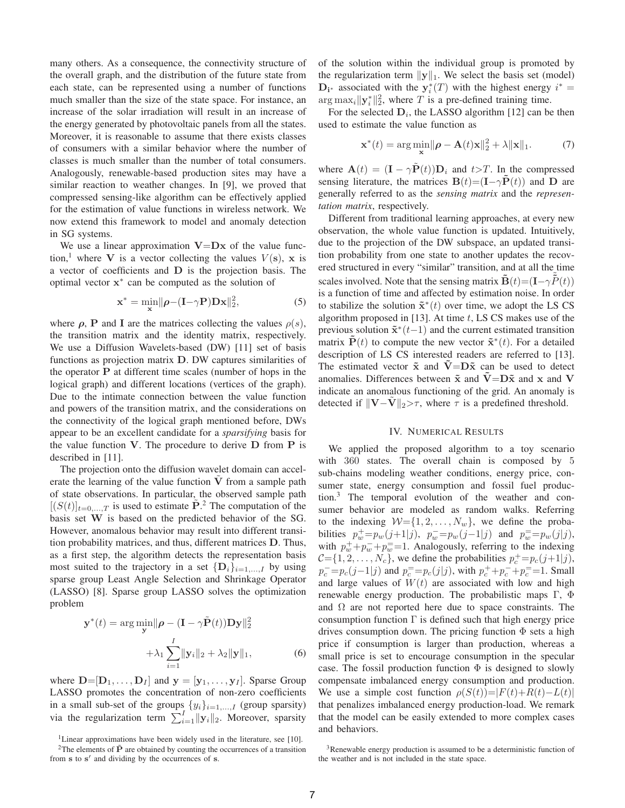many others. As a consequence, the connectivity structure of the overall graph, and the distribution of the future state from each state, can be represented using a number of functions much smaller than the size of the state space. For instance, an increase of the solar irradiation will result in an increase of the energy generated by photovoltaic panels from all the states. Moreover, it is reasonable to assume that there exists classes of consumers with a similar behavior where the number of classes is much smaller than the number of total consumers. Analogously, renewable-based production sites may have a similar reaction to weather changes. In [9], we proved that compressed sensing-like algorithm can be effectively applied for the estimation of value functions in wireless network. We now extend this framework to model and anomaly detection in SG systems.

We use a linear approximation  $V=Dx$  of the value function,<sup>1</sup> where V is a vector collecting the values  $V(\mathbf{s})$ , x is a vector of coefficients and D is the projection basis. The optimal vector x ∗ can be computed as the solution of

$$
\mathbf{x}^* = \min_{\mathbf{x}} ||\boldsymbol{\rho} - (\mathbf{I} - \gamma \mathbf{P}) \mathbf{D} \mathbf{x}||_2^2, \tag{5}
$$

where  $\rho$ , P and I are the matrices collecting the values  $\rho(s)$ , the transition matrix and the identity matrix, respectively. We use a Diffusion Wavelets-based (DW) [11] set of basis functions as projection matrix D. DW captures similarities of the operator  $P$  at different time scales (number of hops in the logical graph) and different locations (vertices of the graph). Due to the intimate connection between the value function and powers of the transition matrix, and the considerations on the connectivity of the logical graph mentioned before, DWs appear to be an excellent candidate for a *sparsifying* basis for the value function  $V$ . The procedure to derive  $D$  from  $P$  is described in [11].

The projection onto the diffusion wavelet domain can accelerate the learning of the value function  $V$  from a sample path of state observations. In particular, the observed sample path  $[(S(t)]_{t=0,...,T}$  is used to estimate  $\tilde{P}$ .<sup>2</sup> The computation of the basis set W is based on the predicted behavior of the SG. However, anomalous behavior may result into different transition probability matrices, and thus, different matrices D. Thus, as a first step, the algorithm detects the representation basis most suited to the trajectory in a set  $\{D_i\}_{i=1,\dots,I}$  by using sparse group Least Angle Selection and Shrinkage Operator (LASSO) [8]. Sparse group LASSO solves the optimization problem

$$
\mathbf{y}^*(t) = \arg\min_{\mathbf{y}} \|\boldsymbol{\rho} - (\mathbf{I} - \gamma \tilde{\mathbf{P}}(t)) \mathbf{D} \mathbf{y} \|_2^2
$$

$$
+ \lambda_1 \sum_{i=1}^I \|\mathbf{y}_i\|_2 + \lambda_2 \|\mathbf{y}\|_1,
$$
(6)

where  $D=[D_1, \ldots, D_I]$  and  $y=[y_1, \ldots, y_I]$ . Sparse Group LASSO promotes the concentration of non-zero coefficients in a small sub-set of the groups  $\{y_i\}_{i=1,\dots,I}$  (group sparsity) via the regularization term  $\sum_{i=1}^{I} ||\mathbf{y}_i||_2$ . Moreover, sparsity of the solution within the individual group is promoted by the regularization term  $||y||_1$ . We select the basis set (model)  $\mathbf{D}_{i^*}$  associated with the  $\mathbf{y}_i^*(T)$  with the highest energy  $i^* =$  $\arg \max_i ||\mathbf{y}_i^*||_2^2$ , where T is a pre-defined training time.

For the selected  $D_i$ , the LASSO algorithm [12] can be then used to estimate the value function as

$$
\mathbf{x}^*(t) = \arg\min_{\mathbf{x}} \|\boldsymbol{\rho} - \mathbf{A}(t)\mathbf{x}\|_2^2 + \lambda \|\mathbf{x}\|_1. \tag{7}
$$

where  $\mathbf{A}(t) = (\mathbf{I} - \gamma \mathbf{P}(t)) \mathbf{D}_i$  and  $t > T$ . In the compressed sensing literature, the matrices  $\mathbf{B}(t)=(\mathbf{I}-\gamma\tilde{\mathbf{P}}(t))$  and  $\mathbf{D}$  are generally referred to as the *sensing matrix* and the *representation matrix*, respectively.

Different from traditional learning approaches, at every new observation, the whole value function is updated. Intuitively, due to the projection of the DW subspace, an updated transition probability from one state to another updates the recovered structured in every "similar" transition, and at all the time scales involved. Note that the sensing matrix  $\tilde{\mathbf{B}}(t) = (\mathbf{I} - \gamma \tilde{\tilde{P}}(t))$ is a function of time and affected by estimation noise. In order to stabilize the solution  $\tilde{\mathbf{x}}^*(t)$  over time, we adopt the LS CS algorithm proposed in [13]. At time  $t$ , LS CS makes use of the previous solution  $\tilde{\mathbf{x}}^*(t-1)$  and the current estimated transition matrix  $\tilde{\mathbf{P}}(t)$  to compute the new vector  $\tilde{\mathbf{x}}^*(t)$ . For a detailed description of LS CS interested readers are referred to [13]. The estimated vector  $\tilde{x}$  and  $\tilde{V} = D\tilde{x}$  can be used to detect anomalies. Differences between  $\tilde{x}$  and  $\tilde{V} = D\tilde{x}$  and x and V indicate an anomalous functioning of the grid. An anomaly is detected if  $||V-V||_2 > \tau$ , where  $\tau$  is a predefined threshold.

#### IV. NUMERICAL RESULTS

We applied the proposed algorithm to a toy scenario with 360 states. The overall chain is composed by 5 sub-chains modeling weather conditions, energy price, consumer state, energy consumption and fossil fuel produc- $\tau$  tion.<sup>3</sup> The temporal evolution of the weather and consumer behavior are modeled as random walks. Referring to the indexing  $W = \{1, 2, ..., N_w\}$ , we define the probabilities  $p_w^+ = p_w(j+1|j)$ ,  $p_w^- = p_w(j-1|j)$  and  $p_w^- = p_w(j|j)$ , with  $p_w^+ + p_w^- + p_w^= = 1$ . Analogously, referring to the indexing  $C = \{1, 2, ..., N_c\}$ , we define the probabilities  $p_c^+ = p_c(j+1|j)$ ,  $p_c^- = p_c(j-1|j)$  and  $p_c^- = p_c(j|j)$ , with  $p_c^+ + p_c^- + p_c^- = 1$ . Small and large values of  $W(t)$  are associated with low and high renewable energy production. The probabilistic maps Γ, Φ and  $\Omega$  are not reported here due to space constraints. The consumption function  $\Gamma$  is defined such that high energy price drives consumption down. The pricing function  $\Phi$  sets a high price if consumption is larger than production, whereas a small price is set to encourage consumption in the specular case. The fossil production function  $\Phi$  is designed to slowly compensate imbalanced energy consumption and production. We use a simple cost function  $\rho(S(t))=|F(t)+R(t)-L(t)|$ that penalizes imbalanced energy production-load. We remark that the model can be easily extended to more complex cases and behaviors.

<sup>&</sup>lt;sup>1</sup>Linear approximations have been widely used in the literature, see [10].

<sup>&</sup>lt;sup>2</sup>The elements of  $\tilde{P}$  are obtained by counting the occurrences of a transition from s to s' and dividing by the occurrences of s.

 $3R$ enewable energy production is assumed to be a deterministic function of the weather and is not included in the state space.